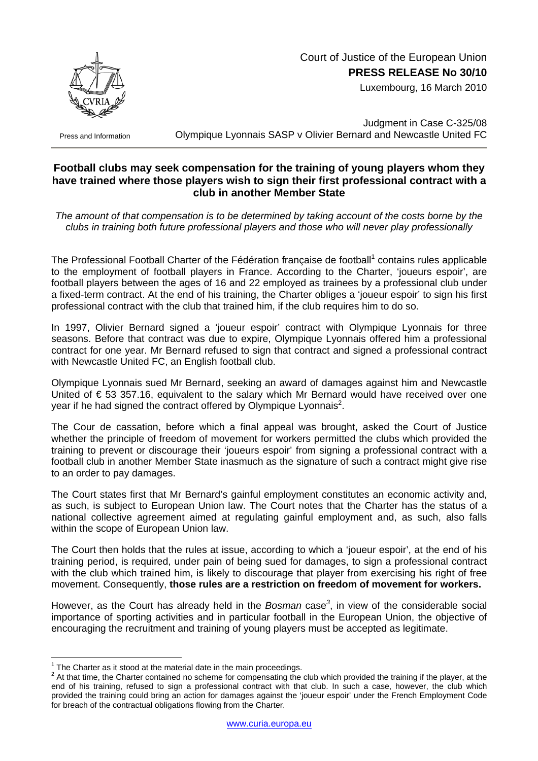

## Court of Justice of the European Union **PRESS RELEASE No 30/10**

Luxembourg, 16 March 2010

Press and Information

Judgment in Case C-325/08 Olympique Lyonnais SASP v Olivier Bernard and Newcastle United FC

## **Football clubs may seek compensation for the training of young players whom they have trained where those players wish to sign their first professional contract with a club in another Member State**

*The amount of that compensation is to be determined by taking account of the costs borne by the clubs in training both future professional players and those who will never play professionally* 

The Professional Football Charter of the Fédération française de football<sup>[1](#page-0-0)</sup> contains rules applicable to the employment of football players in France. According to the Charter, 'joueurs espoir', are football players between the ages of 16 and 22 employed as trainees by a professional club under a fixed-term contract. At the end of his training, the Charter obliges a 'joueur espoir' to sign his first professional contract with the club that trained him, if the club requires him to do so.

In 1997, Olivier Bernard signed a 'joueur espoir' contract with Olympique Lyonnais for three seasons. Before that contract was due to expire, Olympique Lyonnais offered him a professional contract for one year. Mr Bernard refused to sign that contract and signed a professional contract with Newcastle United FC, an English football club.

Olympique Lyonnais sued Mr Bernard, seeking an award of damages against him and Newcastle United of € 53 357.16, equivalent to the salary which Mr Bernard would have received over one year if he had signed the contract offered by Olympique Lyonnais<sup>2</sup>.

The Cour de cassation, before which a final appeal was brought, asked the Court of Justice whether the principle of freedom of movement for workers permitted the clubs which provided the training to prevent or discourage their 'joueurs espoir' from signing a professional contract with a football club in another Member State inasmuch as the signature of such a contract might give rise to an order to pay damages.

The Court states first that Mr Bernard's gainful employment constitutes an economic activity and, as such, is subject to European Union law. The Court notes that the Charter has the status of a national collective agreement aimed at regulating gainful employment and, as such, also falls within the scope of European Union law.

The Court then holds that the rules at issue, according to which a 'joueur espoir', at the end of his training period, is required, under pain of being sued for damages, to sign a professional contract with the club which trained him, is likely to discourage that player from exercising his right of free movement. Consequently, **those rules are a restriction on freedom of movement for workers.**

However, as the Court has already held in the *Bosman* case*[3](#page-0-2)* , in view of the considerable social importance of sporting activities and in particular football in the European Union, the objective of encouraging the recruitment and training of young players must be accepted as legitimate.

 $\overline{a}$ <sup>1</sup> The Charter as it stood at the material date in the main proceedings.

<span id="page-0-2"></span><span id="page-0-1"></span><span id="page-0-0"></span><sup>&</sup>lt;sup>2</sup> At that time, the Charter contained no scheme for compensating the club which provided the training if the player, at the end of his training, refused to sign a professional contract with that club. In such a case, however, the club which provided the training could bring an action for damages against the 'joueur espoir' under the French Employment Code for breach of the contractual obligations flowing from the Charter.